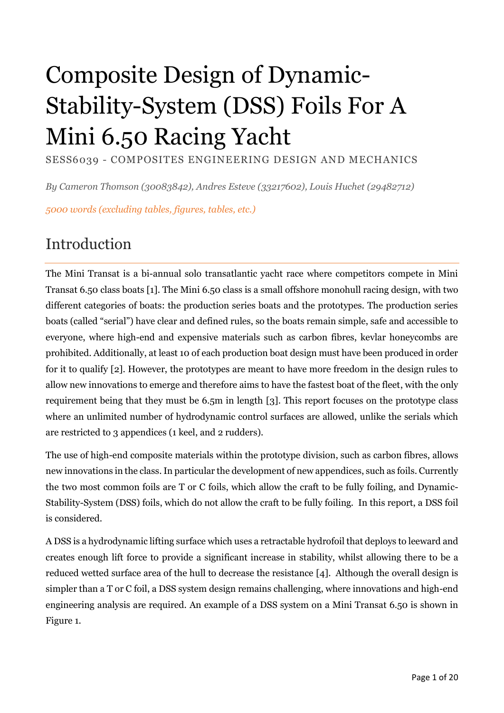# Composite Design of Dynamic-Stability-System (DSS) Foils For A Mini 6.50 Racing Yacht

SESS6039 - COMPOSITES ENGINEERING DESIGN AND MECHANICS

*By Cameron Thomson (30083842), Andres Esteve (33217602), Louis Huchet (29482712)*

*5000 words (excluding tables, figures, tables, etc.)*

## Introduction

The Mini Transat is a bi-annual solo transatlantic yacht race where competitors compete in Mini Transat 6.50 class boats [1]. The Mini 6.50 class is a small offshore monohull racing design, with two different categories of boats: the production series boats and the prototypes. The production series boats (called "serial") have clear and defined rules, so the boats remain simple, safe and accessible to everyone, where high-end and expensive materials such as carbon fibres, kevlar honeycombs are prohibited. Additionally, at least 10 of each production boat design must have been produced in order for it to qualify [2]. However, the prototypes are meant to have more freedom in the design rules to allow new innovations to emerge and therefore aims to have the fastest boat of the fleet, with the only requirement being that they must be 6.5m in length [3]. This report focuses on the prototype class where an unlimited number of hydrodynamic control surfaces are allowed, unlike the serials which are restricted to 3 appendices (1 keel, and 2 rudders).

The use of high-end composite materials within the prototype division, such as carbon fibres, allows new innovations in the class. In particular the development of new appendices, such as foils. Currently the two most common foils are T or C foils, which allow the craft to be fully foiling, and Dynamic-Stability-System (DSS) foils, which do not allow the craft to be fully foiling. In this report, a DSS foil is considered.

A DSS is a hydrodynamic lifting surface which uses a retractable hydrofoil that deploys to leeward and creates enough lift force to provide a significant increase in stability, whilst allowing there to be a reduced wetted surface area of the hull to decrease the resistance [4]. Although the overall design is simpler than a T or C foil, a DSS system design remains challenging, where innovations and high-end engineering analysis are required. An example of a DSS system on a Mini Transat 6.50 is shown in Figure 1.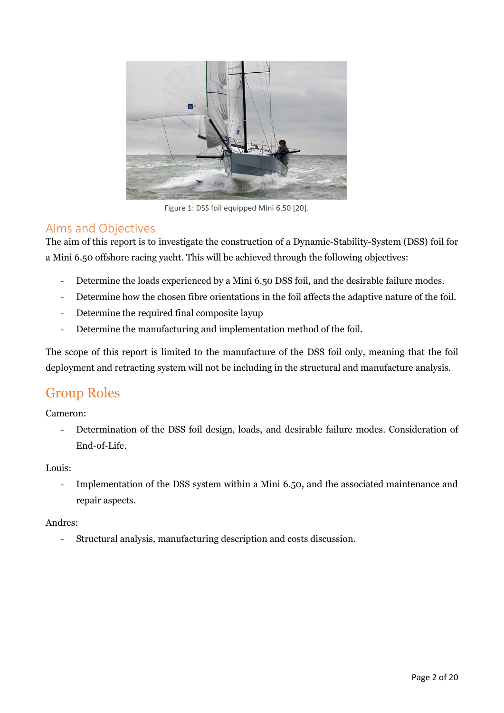

Figure 1: DSS foil equipped Mini 6.50 [20].

#### Aims and Objectives

The aim of this report is to investigate the construction of a Dynamic-Stability-System (DSS) foil for a Mini 6.50 offshore racing yacht. This will be achieved through the following objectives:

- Determine the loads experienced by a Mini 6.50 DSS foil, and the desirable failure modes.
- Determine how the chosen fibre orientations in the foil affects the adaptive nature of the foil.
- Determine the required final composite layup
- Determine the manufacturing and implementation method of the foil.

The scope of this report is limited to the manufacture of the DSS foil only, meaning that the foil deployment and retracting system will not be including in the structural and manufacture analysis.

### Group Roles

Cameron:

- Determination of the DSS foil design, loads, and desirable failure modes. Consideration of End-of-Life.

#### Louis:

- Implementation of the DSS system within a Mini 6.50, and the associated maintenance and repair aspects.

#### Andres:

- Structural analysis, manufacturing description and costs discussion.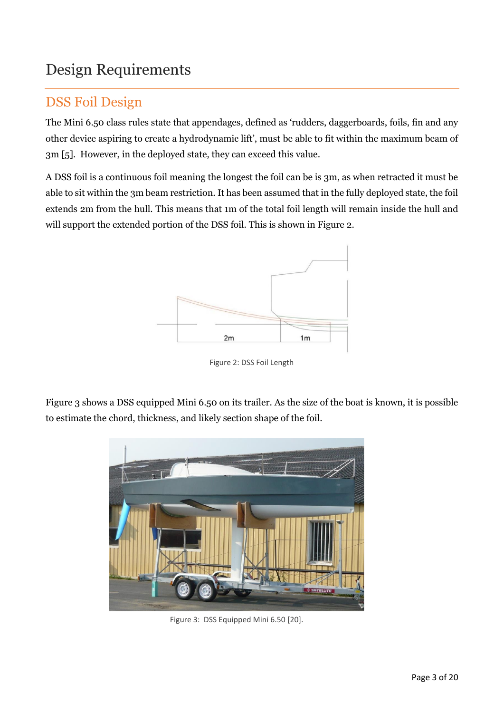# Design Requirements

### DSS Foil Design

The Mini 6.50 class rules state that appendages, defined as 'rudders, daggerboards, foils, fin and any other device aspiring to create a hydrodynamic lift', must be able to fit within the maximum beam of 3m [5]. However, in the deployed state, they can exceed this value.

A DSS foil is a continuous foil meaning the longest the foil can be is 3m, as when retracted it must be able to sit within the 3m beam restriction. It has been assumed that in the fully deployed state, the foil extends 2m from the hull. This means that 1m of the total foil length will remain inside the hull and will support the extended portion of the DSS foil. This is shown in Figure 2.



Figure 2: DSS Foil Length

Figure 3 shows a DSS equipped Mini 6.50 on its trailer. As the size of the boat is known, it is possible to estimate the chord, thickness, and likely section shape of the foil.



Figure 3: DSS Equipped Mini 6.50 [20].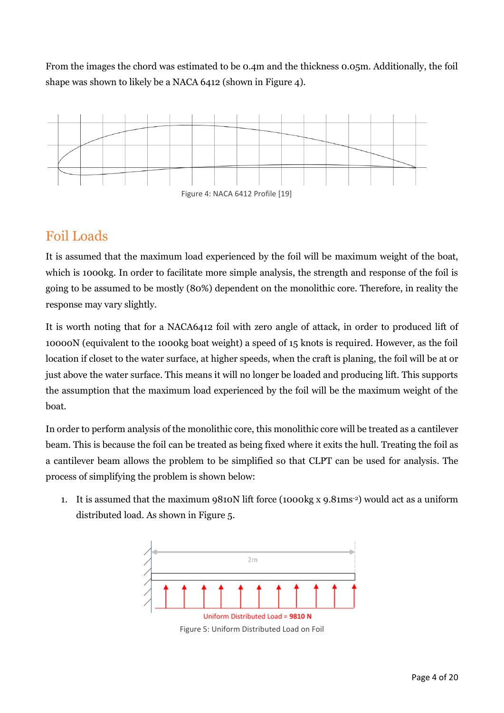From the images the chord was estimated to be 0.4m and the thickness 0.05m. Additionally, the foil shape was shown to likely be a NACA 6412 (shown in Figure 4).



### Foil Loads

It is assumed that the maximum load experienced by the foil will be maximum weight of the boat, which is 1000kg. In order to facilitate more simple analysis, the strength and response of the foil is going to be assumed to be mostly (80%) dependent on the monolithic core. Therefore, in reality the response may vary slightly.

It is worth noting that for a NACA6412 foil with zero angle of attack, in order to produced lift of 10000N (equivalent to the 1000kg boat weight) a speed of 15 knots is required. However, as the foil location if closet to the water surface, at higher speeds, when the craft is planing, the foil will be at or just above the water surface. This means it will no longer be loaded and producing lift. This supports the assumption that the maximum load experienced by the foil will be the maximum weight of the boat.

In order to perform analysis of the monolithic core, this monolithic core will be treated as a cantilever beam. This is because the foil can be treated as being fixed where it exits the hull. Treating the foil as a cantilever beam allows the problem to be simplified so that CLPT can be used for analysis. The process of simplifying the problem is shown below:

1. It is assumed that the maximum 9810N lift force (1000kg x 9.81ms-2) would act as a uniform distributed load. As shown in Figure 5.

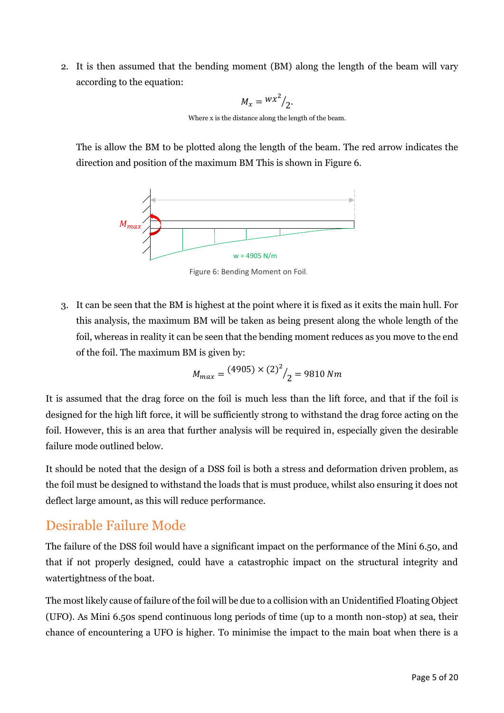2. It is then assumed that the bending moment (BM) along the length of the beam will vary according to the equation:

$$
M_x = \frac{wx^2}{2}
$$

Where x is the distance along the length of the beam.

The is allow the BM to be plotted along the length of the beam. The red arrow indicates the direction and position of the maximum BM This is shown in Figure 6.



Figure 6: Bending Moment on Foil.

3. It can be seen that the BM is highest at the point where it is fixed as it exits the main hull. For this analysis, the maximum BM will be taken as being present along the whole length of the foil, whereas in reality it can be seen that the bending moment reduces as you move to the end of the foil. The maximum BM is given by:

$$
M_{max} = \frac{(4905) \times (2)^2}{2} = 9810 \, Nm
$$

It is assumed that the drag force on the foil is much less than the lift force, and that if the foil is designed for the high lift force, it will be sufficiently strong to withstand the drag force acting on the foil. However, this is an area that further analysis will be required in, especially given the desirable failure mode outlined below.

It should be noted that the design of a DSS foil is both a stress and deformation driven problem, as the foil must be designed to withstand the loads that is must produce, whilst also ensuring it does not deflect large amount, as this will reduce performance.

### Desirable Failure Mode

The failure of the DSS foil would have a significant impact on the performance of the Mini 6.50, and that if not properly designed, could have a catastrophic impact on the structural integrity and watertightness of the boat.

The most likely cause of failure of the foil will be due to a collision with an Unidentified Floating Object (UFO). As Mini 6.50s spend continuous long periods of time (up to a month non-stop) at sea, their chance of encountering a UFO is higher. To minimise the impact to the main boat when there is a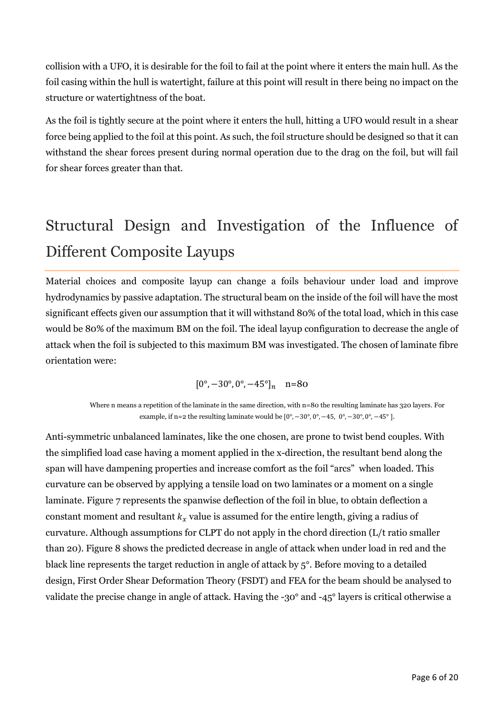collision with a UFO, it is desirable for the foil to fail at the point where it enters the main hull. As the foil casing within the hull is watertight, failure at this point will result in there being no impact on the structure or watertightness of the boat.

As the foil is tightly secure at the point where it enters the hull, hitting a UFO would result in a shear force being applied to the foil at this point. As such, the foil structure should be designed so that it can withstand the shear forces present during normal operation due to the drag on the foil, but will fail for shear forces greater than that.

# Structural Design and Investigation of the Influence of Different Composite Layups

Material choices and composite layup can change a foils behaviour under load and improve hydrodynamics by passive adaptation. The structural beam on the inside of the foil will have the most significant effects given our assumption that it will withstand 80% of the total load, which in this case would be 80% of the maximum BM on the foil. The ideal layup configuration to decrease the angle of attack when the foil is subjected to this maximum BM was investigated. The chosen of laminate fibre orientation were:

$$
[0^{\circ}, -30^{\circ}, 0^{\circ}, -45^{\circ}]_n \quad n=80
$$

Where n means a repetition of the laminate in the same direction, with n=80 the resulting laminate has 320 layers. For example, if n=2 the resulting laminate would be  $[0^{\circ}, -30^{\circ}, 0^{\circ}, -45, 0^{\circ}, -30^{\circ}, 0^{\circ}, -45^{\circ}]$ .

Anti-symmetric unbalanced laminates, like the one chosen, are prone to twist bend couples. With the simplified load case having a moment applied in the x-direction, the resultant bend along the span will have dampening properties and increase comfort as the foil "arcs" when loaded. This curvature can be observed by applying a tensile load on two laminates or a moment on a single laminate. Figure 7 represents the spanwise deflection of the foil in blue, to obtain deflection a constant moment and resultant  $k<sub>x</sub>$  value is assumed for the entire length, giving a radius of curvature. Although assumptions for CLPT do not apply in the chord direction (L/t ratio smaller than 20). Figure 8 shows the predicted decrease in angle of attack when under load in red and the black line represents the target reduction in angle of attack by 5°. Before moving to a detailed design, First Order Shear Deformation Theory (FSDT) and FEA for the beam should be analysed to validate the precise change in angle of attack. Having the -30° and -45° layers is critical otherwise a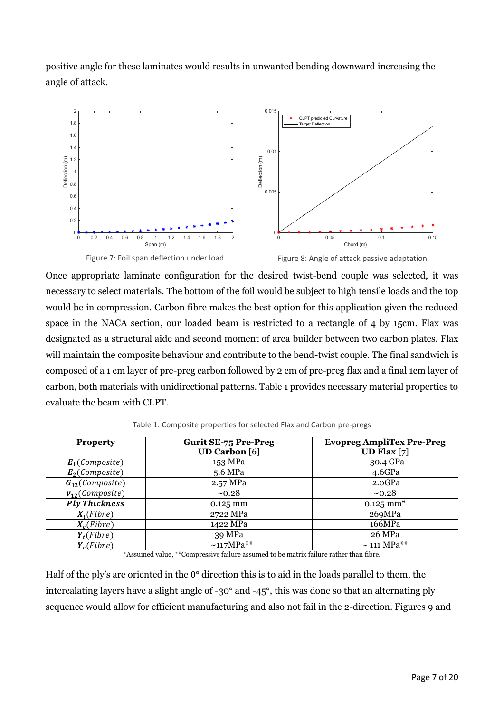positive angle for these laminates would results in unwanted bending downward increasing the angle of attack.



Once appropriate laminate configuration for the desired twist-bend couple was selected, it was necessary to select materials. The bottom of the foil would be subject to high tensile loads and the top would be in compression. Carbon fibre makes the best option for this application given the reduced space in the NACA section, our loaded beam is restricted to a rectangle of 4 by 15cm. Flax was designated as a structural aide and second moment of area builder between two carbon plates. Flax will maintain the composite behaviour and contribute to the bend-twist couple. The final sandwich is composed of a 1 cm layer of pre-preg carbon followed by 2 cm of pre-preg flax and a final 1cm layer of carbon, both materials with unidirectional patterns. Table 1 provides necessary material properties to evaluate the beam with CLPT.

| <b>Property</b>      | <b>Gurit SE-75 Pre-Preg</b><br><b>UD Carbon</b> [6] | <b>Evopreg AmpliTex Pre-Preg</b><br>UD Flax $[7]$ |
|----------------------|-----------------------------------------------------|---------------------------------------------------|
| $E_1$ (Composite)    | 153 MPa                                             | 30.4 GPa                                          |
| $E_2$ (Composite)    | 5.6 MPa                                             | 4.6GPa                                            |
| $G_{12}(Composite)$  | 2.57 MPa                                            | 2.0GPa                                            |
| $v_{12}(Composite)$  | ~10.28                                              | ~10.28                                            |
| <b>Ply Thickness</b> | $0.125$ mm                                          | $0.125$ mm <sup>*</sup>                           |
| $X_t(Fibre)$         | 2722 MPa                                            | 269MPa                                            |
| $X_c$ (Fibre)        | 1422 MPa                                            | 166MPa                                            |
| $Y_t(Fibre)$         | 39 MPa                                              | 26 MPa                                            |
| $Y_c$ (Fibre)        | $~117MPa**$                                         | $\sim$ 111 MPa**                                  |

Table 1: Composite properties for selected Flax and Carbon pre-pregs

\*Assumed value, \*\*Compressive failure assumed to be matrix failure rather than fibre.

Half of the ply's are oriented in the 0° direction this is to aid in the loads parallel to them, the intercalating layers have a slight angle of -30° and -45°, this was done so that an alternating ply sequence would allow for efficient manufacturing and also not fail in the 2-direction. Figures 9 and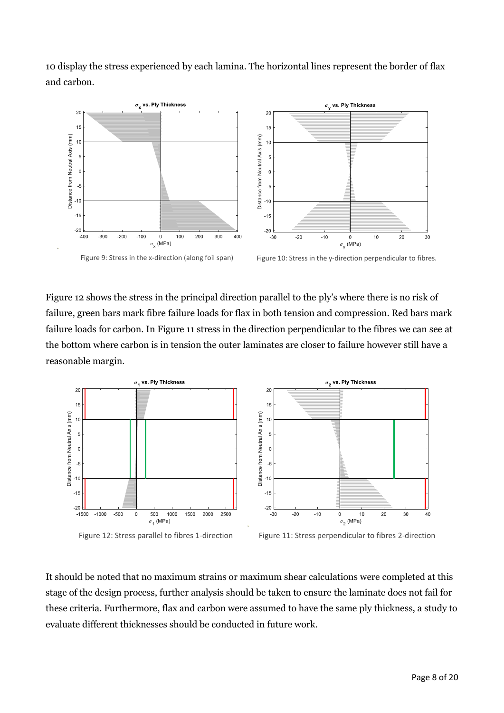10 display the stress experienced by each lamina. The horizontal lines represent the border of flax and carbon.



Figure 12 shows the stress in the principal direction parallel to the ply's where there is no risk of failure, green bars mark fibre failure loads for flax in both tension and compression. Red bars mark failure loads for carbon. In Figure 11 stress in the direction perpendicular to the fibres we can see at the bottom where carbon is in tension the outer laminates are closer to failure however still have a reasonable margin.



It should be noted that no maximum strains or maximum shear calculations were completed at this stage of the design process, further analysis should be taken to ensure the laminate does not fail for these criteria. Furthermore, flax and carbon were assumed to have the same ply thickness, a study to evaluate different thicknesses should be conducted in future work.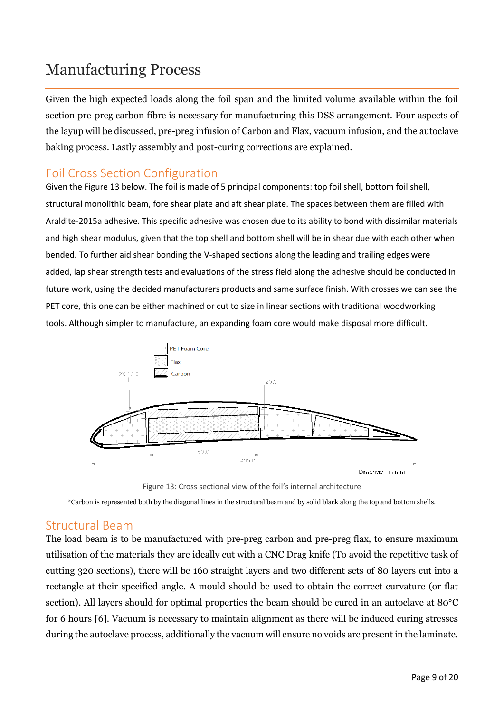# Manufacturing Process

Given the high expected loads along the foil span and the limited volume available within the foil section pre-preg carbon fibre is necessary for manufacturing this DSS arrangement. Four aspects of the layup will be discussed, pre-preg infusion of Carbon and Flax, vacuum infusion, and the autoclave baking process. Lastly assembly and post-curing corrections are explained.

#### Foil Cross Section Configuration

Given the Figure 13 below. The foil is made of 5 principal components: top foil shell, bottom foil shell, structural monolithic beam, fore shear plate and aft shear plate. The spaces between them are filled with Araldite-2015a adhesive. This specific adhesive was chosen due to its ability to bond with dissimilar materials and high shear modulus, given that the top shell and bottom shell will be in shear due with each other when bended. To further aid shear bonding the V-shaped sections along the leading and trailing edges were added, lap shear strength tests and evaluations of the stress field along the adhesive should be conducted in future work, using the decided manufacturers products and same surface finish. With crosses we can see the PET core, this one can be either machined or cut to size in linear sections with traditional woodworking tools. Although simpler to manufacture, an expanding foam core would make disposal more difficult.



Figure 13: Cross sectional view of the foil's internal architecture

\*Carbon is represented both by the diagonal lines in the structural beam and by solid black along the top and bottom shells.

#### Structural Beam

The load beam is to be manufactured with pre-preg carbon and pre-preg flax, to ensure maximum utilisation of the materials they are ideally cut with a CNC Drag knife (To avoid the repetitive task of cutting 320 sections), there will be 160 straight layers and two different sets of 80 layers cut into a rectangle at their specified angle. A mould should be used to obtain the correct curvature (or flat section). All layers should for optimal properties the beam should be cured in an autoclave at 80°C for 6 hours [6]. Vacuum is necessary to maintain alignment as there will be induced curing stresses during the autoclave process, additionally the vacuum will ensure no voids are present in the laminate.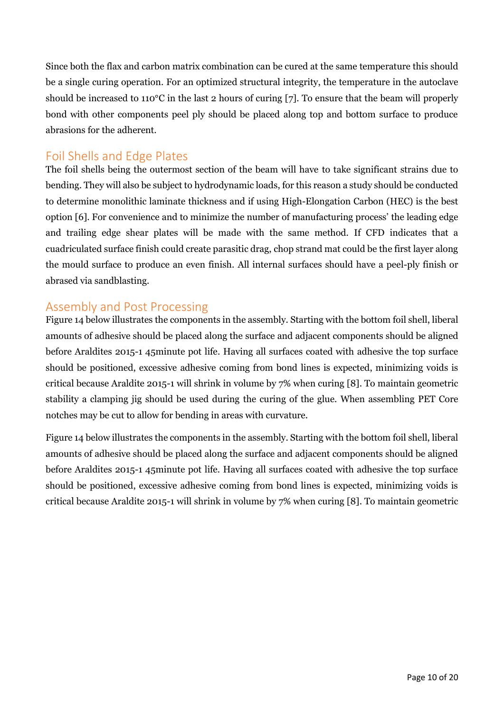Since both the flax and carbon matrix combination can be cured at the same temperature this should be a single curing operation. For an optimized structural integrity, the temperature in the autoclave should be increased to 110°C in the last 2 hours of curing [7]. To ensure that the beam will properly bond with other components peel ply should be placed along top and bottom surface to produce abrasions for the adherent.

#### Foil Shells and Edge Plates

The foil shells being the outermost section of the beam will have to take significant strains due to bending. They will also be subject to hydrodynamic loads, for this reason a study should be conducted to determine monolithic laminate thickness and if using High-Elongation Carbon (HEC) is the best option [6]. For convenience and to minimize the number of manufacturing process' the leading edge and trailing edge shear plates will be made with the same method. If CFD indicates that a cuadriculated surface finish could create parasitic drag, chop strand mat could be the first layer along the mould surface to produce an even finish. All internal surfaces should have a peel-ply finish or abrased via sandblasting.

#### Assembly and Post Processing

Figure 14 below illustrates the components in the assembly. Starting with the bottom foil shell, liberal amounts of adhesive should be placed along the surface and adjacent components should be aligned before Araldites 2015-1 45minute pot life. Having all surfaces coated with adhesive the top surface should be positioned, excessive adhesive coming from bond lines is expected, minimizing voids is critical because Araldite 2015-1 will shrink in volume by 7% when curing [8]. To maintain geometric stability a clamping jig should be used during the curing of the glue. When assembling PET Core notches may be cut to allow for bending in areas with curvature.

Figure 14 below illustrates the components in the assembly. Starting with the bottom foil shell, liberal amounts of adhesive should be placed along the surface and adjacent components should be aligned before Araldites 2015-1 45minute pot life. Having all surfaces coated with adhesive the top surface should be positioned, excessive adhesive coming from bond lines is expected, minimizing voids is critical because Araldite 2015-1 will shrink in volume by 7% when curing [8]. To maintain geometric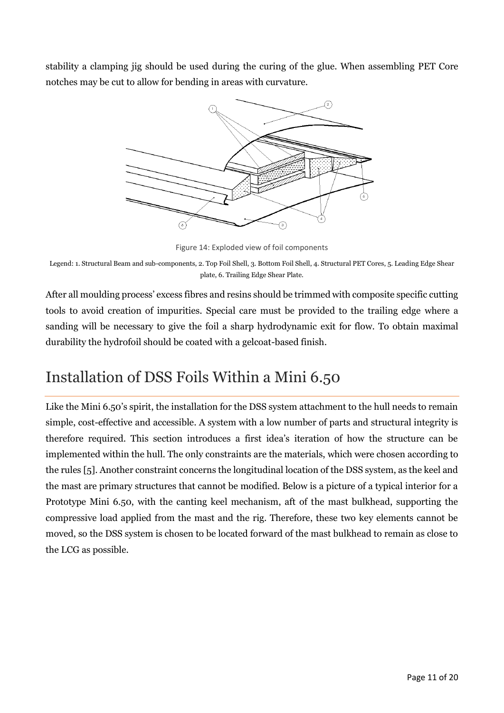stability a clamping jig should be used during the curing of the glue. When assembling PET Core notches may be cut to allow for bending in areas with curvature.



Figure 14: Exploded view of foil components

Legend: 1. Structural Beam and sub-components, 2. Top Foil Shell, 3. Bottom Foil Shell, 4. Structural PET Cores, 5. Leading Edge Shear plate, 6. Trailing Edge Shear Plate.

After all moulding process' excess fibres and resins should be trimmed with composite specific cutting tools to avoid creation of impurities. Special care must be provided to the trailing edge where a sanding will be necessary to give the foil a sharp hydrodynamic exit for flow. To obtain maximal durability the hydrofoil should be coated with a gelcoat-based finish.

# Installation of DSS Foils Within a Mini 6.50

Like the Mini 6.50's spirit, the installation for the DSS system attachment to the hull needs to remain simple, cost-effective and accessible. A system with a low number of parts and structural integrity is therefore required. This section introduces a first idea's iteration of how the structure can be implemented within the hull. The only constraints are the materials, which were chosen according to the rules [5]. Another constraint concerns the longitudinal location of the DSS system, as the keel and the mast are primary structures that cannot be modified. Below is a picture of a typical interior for a Prototype Mini 6.50, with the canting keel mechanism, aft of the mast bulkhead, supporting the compressive load applied from the mast and the rig. Therefore, these two key elements cannot be moved, so the DSS system is chosen to be located forward of the mast bulkhead to remain as close to the LCG as possible.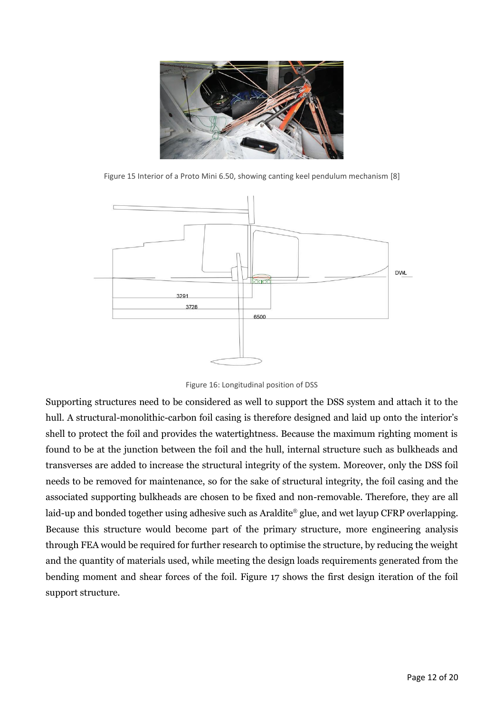

Figure 15 Interior of a Proto Mini 6.50, showing canting keel pendulum mechanism [8]



Figure 16: Longitudinal position of DSS

Supporting structures need to be considered as well to support the DSS system and attach it to the hull. A structural-monolithic-carbon foil casing is therefore designed and laid up onto the interior's shell to protect the foil and provides the watertightness. Because the maximum righting moment is found to be at the junction between the foil and the hull, internal structure such as bulkheads and transverses are added to increase the structural integrity of the system. Moreover, only the DSS foil needs to be removed for maintenance, so for the sake of structural integrity, the foil casing and the associated supporting bulkheads are chosen to be fixed and non-removable. Therefore, they are all laid-up and bonded together using adhesive such as Araldite® glue, and wet layup CFRP overlapping. Because this structure would become part of the primary structure, more engineering analysis through FEA would be required for further research to optimise the structure, by reducing the weight and the quantity of materials used, while meeting the design loads requirements generated from the bending moment and shear forces of the foil. Figure 17 shows the first design iteration of the foil support structure.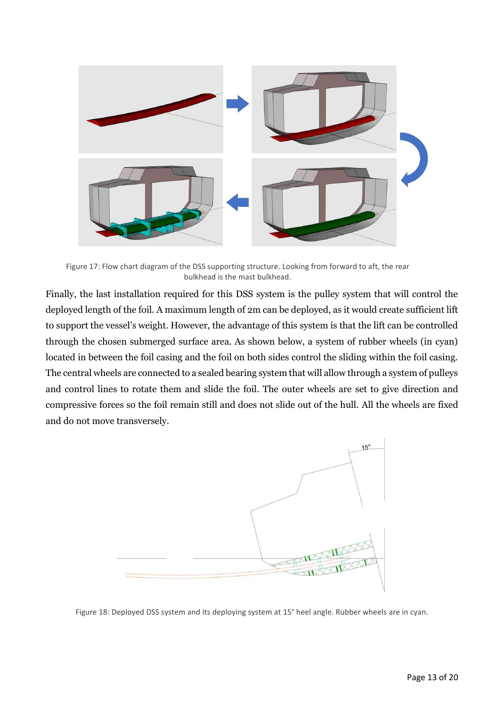

Figure 17: Flow chart diagram of the DSS supporting structure. Looking from forward to aft, the rear bulkhead is the mast bulkhead.

Finally, the last installation required for this DSS system is the pulley system that will control the deployed length of the foil. A maximum length of 2m can be deployed, as it would create sufficient lift to support the vessel's weight. However, the advantage of this system is that the lift can be controlled through the chosen submerged surface area. As shown below, a system of rubber wheels (in cyan) located in between the foil casing and the foil on both sides control the sliding within the foil casing. The central wheels are connected to a sealed bearing system that will allow through a system of pulleys and control lines to rotate them and slide the foil. The outer wheels are set to give direction and compressive forces so the foil remain still and does not slide out of the hull. All the wheels are fixed and do not move transversely.



Figure 18: Deployed DSS system and its deploying system at 15° heel angle. Rubber wheels are in cyan.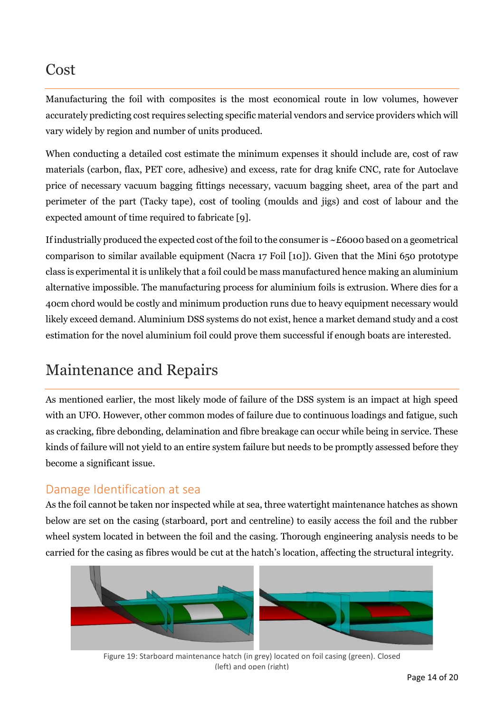### Cost

Manufacturing the foil with composites is the most economical route in low volumes, however accurately predicting cost requires selecting specific material vendors and service providers which will vary widely by region and number of units produced.

When conducting a detailed cost estimate the minimum expenses it should include are, cost of raw materials (carbon, flax, PET core, adhesive) and excess, rate for drag knife CNC, rate for Autoclave price of necessary vacuum bagging fittings necessary, vacuum bagging sheet, area of the part and perimeter of the part (Tacky tape), cost of tooling (moulds and jigs) and cost of labour and the expected amount of time required to fabricate [9].

If industrially produced the expected cost of the foil to the consumer is ~£6000 based on a geometrical comparison to similar available equipment (Nacra 17 Foil [10]). Given that the Mini 650 prototype class is experimental it is unlikely that a foil could be mass manufactured hence making an aluminium alternative impossible. The manufacturing process for aluminium foils is extrusion. Where dies for a 40cm chord would be costly and minimum production runs due to heavy equipment necessary would likely exceed demand. Aluminium DSS systems do not exist, hence a market demand study and a cost estimation for the novel aluminium foil could prove them successful if enough boats are interested.

# Maintenance and Repairs

As mentioned earlier, the most likely mode of failure of the DSS system is an impact at high speed with an UFO. However, other common modes of failure due to continuous loadings and fatigue, such as cracking, fibre debonding, delamination and fibre breakage can occur while being in service. These kinds of failure will not yield to an entire system failure but needs to be promptly assessed before they become a significant issue.

#### Damage Identification at sea

As the foil cannot be taken nor inspected while at sea, three watertight maintenance hatches as shown below are set on the casing (starboard, port and centreline) to easily access the foil and the rubber wheel system located in between the foil and the casing. Thorough engineering analysis needs to be carried for the casing as fibres would be cut at the hatch's location, affecting the structural integrity.



Figure 19: Starboard maintenance hatch (in grey) located on foil casing (green). Closed (left) and open (right)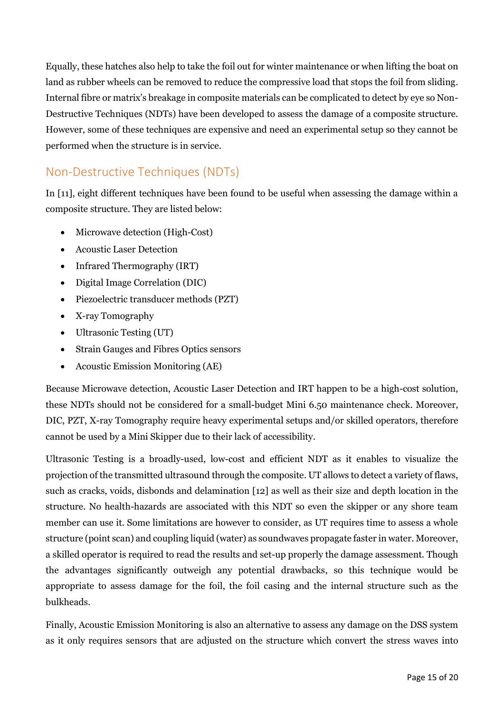Equally, these hatches also help to take the foil out for winter maintenance or when lifting the boat on land as rubber wheels can be removed to reduce the compressive load that stops the foil from sliding. Internal fibre or matrix's breakage in composite materials can be complicated to detect by eye so Non-Destructive Techniques (NDTs) have been developed to assess the damage of a composite structure. However, some of these techniques are expensive and need an experimental setup so they cannot be performed when the structure is in service.

### Non-Destructive Techniques (NDTs)

In [11], eight different techniques have been found to be useful when assessing the damage within a composite structure. They are listed below:

- Microwave detection (High-Cost)
- Acoustic Laser Detection
- Infrared Thermography (IRT)
- Digital Image Correlation (DIC)
- Piezoelectric transducer methods (PZT)
- X-ray Tomography
- Ultrasonic Testing (UT)
- Strain Gauges and Fibres Optics sensors
- Acoustic Emission Monitoring (AE)

Because Microwave detection, Acoustic Laser Detection and IRT happen to be a high-cost solution, these NDTs should not be considered for a small-budget Mini 6.50 maintenance check. Moreover, DIC, PZT, X-ray Tomography require heavy experimental setups and/or skilled operators, therefore cannot be used by a Mini Skipper due to their lack of accessibility.

Ultrasonic Testing is a broadly-used, low-cost and efficient NDT as it enables to visualize the projection of the transmitted ultrasound through the composite. UT allows to detect a variety of flaws, such as cracks, voids, disbonds and delamination [12] as well as their size and depth location in the structure. No health-hazards are associated with this NDT so even the skipper or any shore team member can use it. Some limitations are however to consider, as UT requires time to assess a whole structure (point scan) and coupling liquid (water) as soundwaves propagate faster in water. Moreover, a skilled operator is required to read the results and set-up properly the damage assessment. Though the advantages significantly outweigh any potential drawbacks, so this technique would be appropriate to assess damage for the foil, the foil casing and the internal structure such as the bulkheads.

Finally, Acoustic Emission Monitoring is also an alternative to assess any damage on the DSS system as it only requires sensors that are adjusted on the structure which convert the stress waves into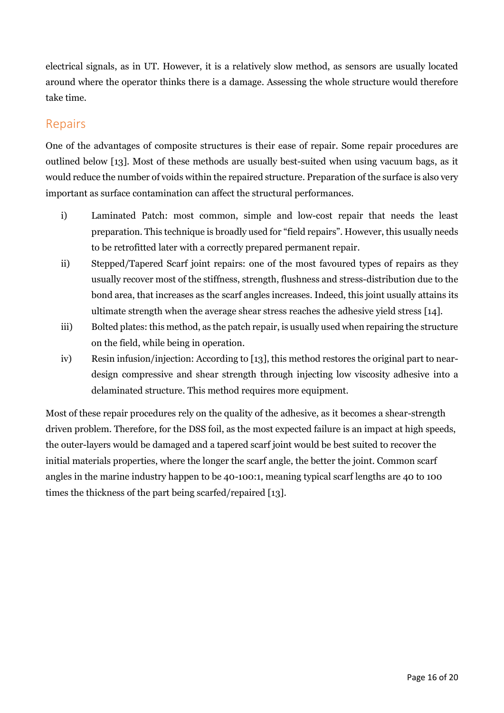electrical signals, as in UT. However, it is a relatively slow method, as sensors are usually located around where the operator thinks there is a damage. Assessing the whole structure would therefore take time.

#### Repairs

One of the advantages of composite structures is their ease of repair. Some repair procedures are outlined below [13]. Most of these methods are usually best-suited when using vacuum bags, as it would reduce the number of voids within the repaired structure. Preparation of the surface is also very important as surface contamination can affect the structural performances.

- i) Laminated Patch: most common, simple and low-cost repair that needs the least preparation. This technique is broadly used for "field repairs". However, this usually needs to be retrofitted later with a correctly prepared permanent repair.
- ii) Stepped/Tapered Scarf joint repairs: one of the most favoured types of repairs as they usually recover most of the stiffness, strength, flushness and stress-distribution due to the bond area, that increases as the scarf angles increases. Indeed, this joint usually attains its ultimate strength when the average shear stress reaches the adhesive yield stress [14].
- iii) Bolted plates: this method, as the patch repair, is usually used when repairing the structure on the field, while being in operation.
- iv) Resin infusion/injection: According to [13], this method restores the original part to neardesign compressive and shear strength through injecting low viscosity adhesive into a delaminated structure. This method requires more equipment.

Most of these repair procedures rely on the quality of the adhesive, as it becomes a shear-strength driven problem. Therefore, for the DSS foil, as the most expected failure is an impact at high speeds, the outer-layers would be damaged and a tapered scarf joint would be best suited to recover the initial materials properties, where the longer the scarf angle, the better the joint. Common scarf angles in the marine industry happen to be 40-100:1, meaning typical scarf lengths are 40 to 100 times the thickness of the part being scarfed/repaired [13].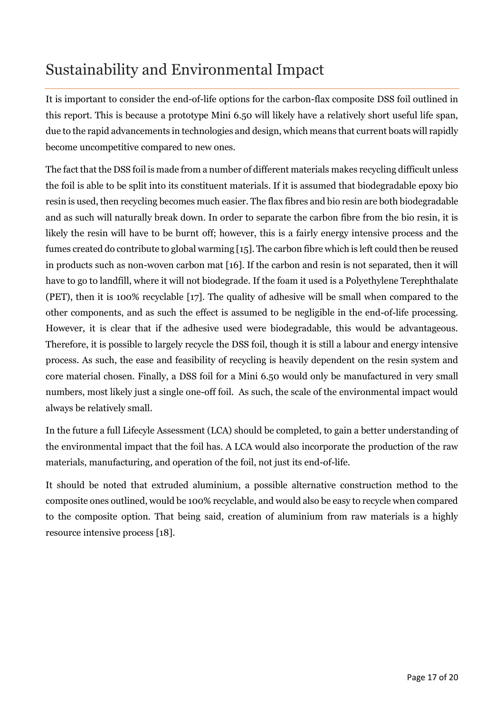# Sustainability and Environmental Impact

It is important to consider the end-of-life options for the carbon-flax composite DSS foil outlined in this report. This is because a prototype Mini 6.50 will likely have a relatively short useful life span, due to the rapid advancements in technologies and design, which means that current boats will rapidly become uncompetitive compared to new ones.

The fact that the DSS foil is made from a number of different materials makes recycling difficult unless the foil is able to be split into its constituent materials. If it is assumed that biodegradable epoxy bio resin is used, then recycling becomes much easier. The flax fibres and bio resin are both biodegradable and as such will naturally break down. In order to separate the carbon fibre from the bio resin, it is likely the resin will have to be burnt off; however, this is a fairly energy intensive process and the fumes created do contribute to global warming [15]. The carbon fibre which is left could then be reused in products such as non-woven carbon mat [16]. If the carbon and resin is not separated, then it will have to go to landfill, where it will not biodegrade. If the foam it used is a Polyethylene Terephthalate (PET), then it is 100% recyclable [17]. The quality of adhesive will be small when compared to the other components, and as such the effect is assumed to be negligible in the end-of-life processing. However, it is clear that if the adhesive used were biodegradable, this would be advantageous. Therefore, it is possible to largely recycle the DSS foil, though it is still a labour and energy intensive process. As such, the ease and feasibility of recycling is heavily dependent on the resin system and core material chosen. Finally, a DSS foil for a Mini 6.50 would only be manufactured in very small numbers, most likely just a single one-off foil. As such, the scale of the environmental impact would always be relatively small.

In the future a full Lifecyle Assessment (LCA) should be completed, to gain a better understanding of the environmental impact that the foil has. A LCA would also incorporate the production of the raw materials, manufacturing, and operation of the foil, not just its end-of-life.

It should be noted that extruded aluminium, a possible alternative construction method to the composite ones outlined, would be 100% recyclable, and would also be easy to recycle when compared to the composite option. That being said, creation of aluminium from raw materials is a highly resource intensive process [18].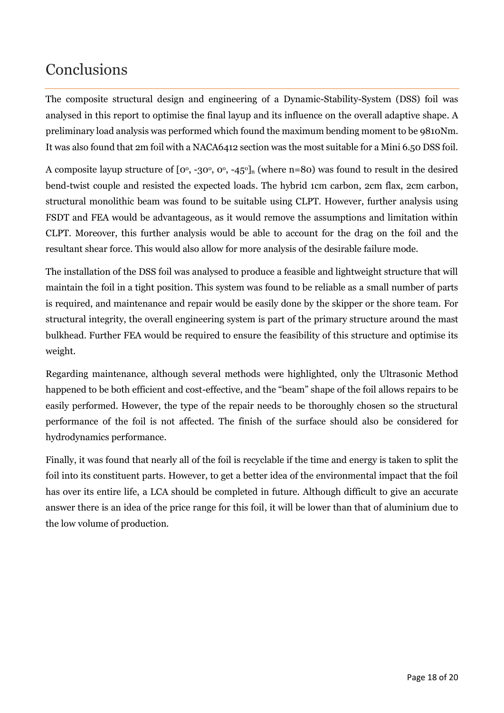# **Conclusions**

The composite structural design and engineering of a Dynamic-Stability-System (DSS) foil was analysed in this report to optimise the final layup and its influence on the overall adaptive shape. A preliminary load analysis was performed which found the maximum bending moment to be 9810Nm. It was also found that 2m foil with a NACA6412 section was the most suitable for a Mini 6.50 DSS foil.

A composite layup structure of  $[0^{\circ}, -30^{\circ}, 0^{\circ}, -45^{\circ}]$  (where n=80) was found to result in the desired bend-twist couple and resisted the expected loads. The hybrid 1cm carbon, 2cm flax, 2cm carbon, structural monolithic beam was found to be suitable using CLPT. However, further analysis using FSDT and FEA would be advantageous, as it would remove the assumptions and limitation within CLPT. Moreover, this further analysis would be able to account for the drag on the foil and the resultant shear force. This would also allow for more analysis of the desirable failure mode.

The installation of the DSS foil was analysed to produce a feasible and lightweight structure that will maintain the foil in a tight position. This system was found to be reliable as a small number of parts is required, and maintenance and repair would be easily done by the skipper or the shore team. For structural integrity, the overall engineering system is part of the primary structure around the mast bulkhead. Further FEA would be required to ensure the feasibility of this structure and optimise its weight.

Regarding maintenance, although several methods were highlighted, only the Ultrasonic Method happened to be both efficient and cost-effective, and the "beam" shape of the foil allows repairs to be easily performed. However, the type of the repair needs to be thoroughly chosen so the structural performance of the foil is not affected. The finish of the surface should also be considered for hydrodynamics performance.

Finally, it was found that nearly all of the foil is recyclable if the time and energy is taken to split the foil into its constituent parts. However, to get a better idea of the environmental impact that the foil has over its entire life, a LCA should be completed in future. Although difficult to give an accurate answer there is an idea of the price range for this foil, it will be lower than that of aluminium due to the low volume of production.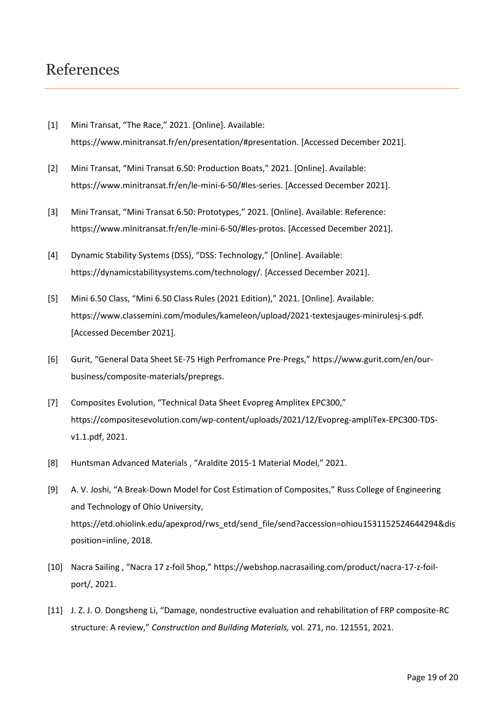### References

- [1] Mini Transat, "The Race," 2021. [Online]. Available: https://www.minitransat.fr/en/presentation/#presentation. [Accessed December 2021].
- [2] Mini Transat, "Mini Transat 6.50: Production Boats," 2021. [Online]. Available: https://www.minitransat.fr/en/le-mini-6-50/#les-series. [Accessed December 2021].
- [3] Mini Transat, "Mini Transat 6.50: Prototypes," 2021. [Online]. Available: Reference: https://www.minitransat.fr/en/le-mini-6-50/#les-protos. [Accessed December 2021].
- [4] Dynamic Stability Systems (DSS), "DSS: Technology," [Online]. Available: https://dynamicstabilitysystems.com/technology/. [Accessed December 2021].
- [5] Mini 6.50 Class, "Mini 6.50 Class Rules (2021 Edition)," 2021. [Online]. Available: https://www.classemini.com/modules/kameleon/upload/2021-textesjauges-minirulesj-s.pdf. [Accessed December 2021].
- [6] Gurit, "General Data Sheet SE-75 High Perfromance Pre-Pregs," https://www.gurit.com/en/ourbusiness/composite-materials/prepregs.
- [7] Composites Evolution, "Technical Data Sheet Evopreg Amplitex EPC300," https://compositesevolution.com/wp-content/uploads/2021/12/Evopreg-ampliTex-EPC300-TDSv1.1.pdf, 2021.
- [8] Huntsman Advanced Materials , "Araldite 2015-1 Material Model," 2021.
- [9] A. V. Joshi, "A Break-Down Model for Cost Estimation of Composites," Russ College of Engineering and Technology of Ohio University, https://etd.ohiolink.edu/apexprod/rws\_etd/send\_file/send?accession=ohiou1531152524644294&dis position=inline, 2018.
- [10] Nacra Sailing , "Nacra 17 z-foil Shop," https://webshop.nacrasailing.com/product/nacra-17-z-foilport/, 2021.
- [11] J. Z. J. O. Dongsheng Li, "Damage, nondestructive evaluation and rehabilitation of FRP composite-RC structure: A review," *Construction and Building Materials,* vol. 271, no. 121551, 2021.